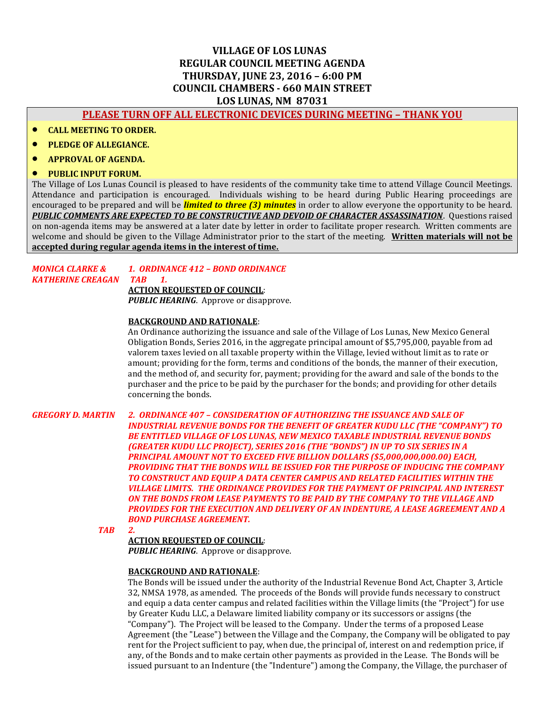# **VILLAGE OF LOS LUNAS REGULAR COUNCIL MEETING AGENDA THURSDAY, JUNE 23, 2016 – 6:00 PM COUNCIL CHAMBERS - 660 MAIN STREET LOS LUNAS, NM 87031**

# **PLEASE TURN OFF ALL ELECTRONIC DEVICES DURING MEETING – THANK YOU**

- **CALL MEETING TO ORDER.**
- **PLEDGE OF ALLEGIANCE.**
- **APPROVAL OF AGENDA.**
- **PUBLIC INPUT FORUM.**

The Village of Los Lunas Council is pleased to have residents of the community take time to attend Village Council Meetings. Attendance and participation is encouraged. Individuals wishing to be heard during Public Hearing proceedings are encouraged to be prepared and will be *limited to three (3) minutes* in order to allow everyone the opportunity to be heard. *PUBLIC COMMENTS ARE EXPECTED TO BE CONSTRUCTIVE AND DEVOID OF CHARACTER ASSASSINATION*. Questions raised on non-agenda items may be answered at a later date by letter in order to facilitate proper research. Written comments are welcome and should be given to the Village Administrator prior to the start of the meeting. **Written materials will not be accepted during regular agenda items in the interest of time.**

#### *MONICA CLARKE & 1. ORDINANCE 412 – BOND ORDINANCE KATHERINE CREAGAN TAB 1.*

**ACTION REQUESTED OF COUNCIL**: *PUBLIC HEARING*. Approve or disapprove.

### **BACKGROUND AND RATIONALE**:

An Ordinance authorizing the issuance and sale of the Village of Los Lunas, New Mexico General Obligation Bonds, Series 2016, in the aggregate principal amount of \$5,795,000, payable from ad valorem taxes levied on all taxable property within the Village, levied without limit as to rate or amount; providing for the form, terms and conditions of the bonds, the manner of their execution, and the method of, and security for, payment; providing for the award and sale of the bonds to the purchaser and the price to be paid by the purchaser for the bonds; and providing for other details concerning the bonds.

*GREGORY D. MARTIN 2. ORDINANCE 407 – CONSIDERATION OF AUTHORIZING THE ISSUANCE AND SALE OF INDUSTRIAL REVENUE BONDS FOR THE BENEFIT OF GREATER KUDU LLC (THE "COMPANY") TO BE ENTITLED VILLAGE OF LOS LUNAS, NEW MEXICO TAXABLE INDUSTRIAL REVENUE BONDS (GREATER KUDU LLC PROJECT), SERIES 2016 (THE "BONDS") IN UP TO SIX SERIES IN A PRINCIPAL AMOUNT NOT TO EXCEED FIVE BILLION DOLLARS (\$5,000,000,000.00) EACH, PROVIDING THAT THE BONDS WILL BE ISSUED FOR THE PURPOSE OF INDUCING THE COMPANY TO CONSTRUCT AND EQUIP A DATA CENTER CAMPUS AND RELATED FACILITIES WITHIN THE VILLAGE LIMITS. THE ORDINANCE PROVIDES FOR THE PAYMENT OF PRINCIPAL AND INTEREST ON THE BONDS FROM LEASE PAYMENTS TO BE PAID BY THE COMPANY TO THE VILLAGE AND PROVIDES FOR THE EXECUTION AND DELIVERY OF AN INDENTURE, A LEASE AGREEMENT AND A BOND PURCHASE AGREEMENT.*

*TAB 2.*

#### **ACTION REQUESTED OF COUNCIL**:

**PUBLIC HEARING**. Approve or disapprove.

#### **BACKGROUND AND RATIONALE**:

The Bonds will be issued under the authority of the Industrial Revenue Bond Act, Chapter 3, Article 32, NMSA 1978, as amended. The proceeds of the Bonds will provide funds necessary to construct and equip a data center campus and related facilities within the Village limits (the "Project") for use by Greater Kudu LLC, a Delaware limited liability company or its successors or assigns (the "Company"). The Project will be leased to the Company. Under the terms of a proposed Lease Agreement (the "Lease") between the Village and the Company, the Company will be obligated to pay rent for the Project sufficient to pay, when due, the principal of, interest on and redemption price, if any, of the Bonds and to make certain other payments as provided in the Lease. The Bonds will be issued pursuant to an Indenture (the "Indenture") among the Company, the Village, the purchaser of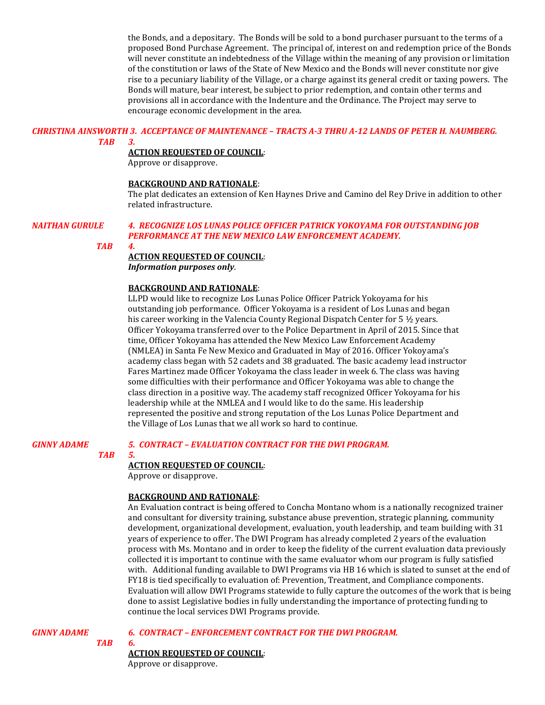the Bonds, and a depositary. The Bonds will be sold to a bond purchaser pursuant to the terms of a proposed Bond Purchase Agreement. The principal of, interest on and redemption price of the Bonds will never constitute an indebtedness of the Village within the meaning of any provision or limitation of the constitution or laws of the State of New Mexico and the Bonds will never constitute nor give rise to a pecuniary liability of the Village, or a charge against its general credit or taxing powers. The Bonds will mature, bear interest, be subject to prior redemption, and contain other terms and provisions all in accordance with the Indenture and the Ordinance. The Project may serve to encourage economic development in the area.

# *CHRISTINA AINSWORTH 3. ACCEPTANCE OF MAINTENANCE – TRACTS A-3 THRU A-12 LANDS OF PETER H. NAUMBERG.*

*TAB 3.*

## **ACTION REQUESTED OF COUNCIL**:

Approve or disapprove.

#### **BACKGROUND AND RATIONALE**:

The plat dedicates an extension of Ken Haynes Drive and Camino del Rey Drive in addition to other related infrastructure.

#### *NAITHAN GURULE 4. RECOGNIZE LOS LUNAS POLICE OFFICER PATRICK YOKOYAMA FOR OUTSTANDING JOB PERFORMANCE AT THE NEW MEXICO LAW ENFORCEMENT ACADEMY.*

*TAB 4.*

#### **ACTION REQUESTED OF COUNCIL**:

*Information purposes only*.

#### **BACKGROUND AND RATIONALE**:

LLPD would like to recognize Los Lunas Police Officer Patrick Yokoyama for his outstanding job performance. Officer Yokoyama is a resident of Los Lunas and began his career working in the Valencia County Regional Dispatch Center for 5 ½ years. Officer Yokoyama transferred over to the Police Department in April of 2015. Since that time, Officer Yokoyama has attended the New Mexico Law Enforcement Academy (NMLEA) in Santa Fe New Mexico and Graduated in May of 2016. Officer Yokoyama's academy class began with 52 cadets and 38 graduated. The basic academy lead instructor Fares Martinez made Officer Yokoyama the class leader in week 6. The class was having some difficulties with their performance and Officer Yokoyama was able to change the class direction in a positive way. The academy staff recognized Officer Yokoyama for his leadership while at the NMLEA and I would like to do the same. His leadership represented the positive and strong reputation of the Los Lunas Police Department and the Village of Los Lunas that we all work so hard to continue.

#### *GINNY ADAME 5. CONTRACT – EVALUATION CONTRACT FOR THE DWI PROGRAM.*

#### *TAB 5.*

## **ACTION REQUESTED OF COUNCIL**:

Approve or disapprove.

## **BACKGROUND AND RATIONALE**:

An Evaluation contract is being offered to Concha Montano whom is a nationally recognized trainer and consultant for diversity training, substance abuse prevention, strategic planning, community development, organizational development, evaluation, youth leadership, and team building with 31 years of experience to offer. The DWI Program has already completed 2 years of the evaluation process with Ms. Montano and in order to keep the fidelity of the current evaluation data previously collected it is important to continue with the same evaluator whom our program is fully satisfied with. Additional funding available to DWI Programs via HB 16 which is slated to sunset at the end of FY18 is tied specifically to evaluation of: Prevention, Treatment, and Compliance components. Evaluation will allow DWI Programs statewide to fully capture the outcomes of the work that is being done to assist Legislative bodies in fully understanding the importance of protecting funding to continue the local services DWI Programs provide.

*TAB 6.*

### *GINNY ADAME 6. CONTRACT – ENFORCEMENT CONTRACT FOR THE DWI PROGRAM.*

## **ACTION REQUESTED OF COUNCIL**:

Approve or disapprove.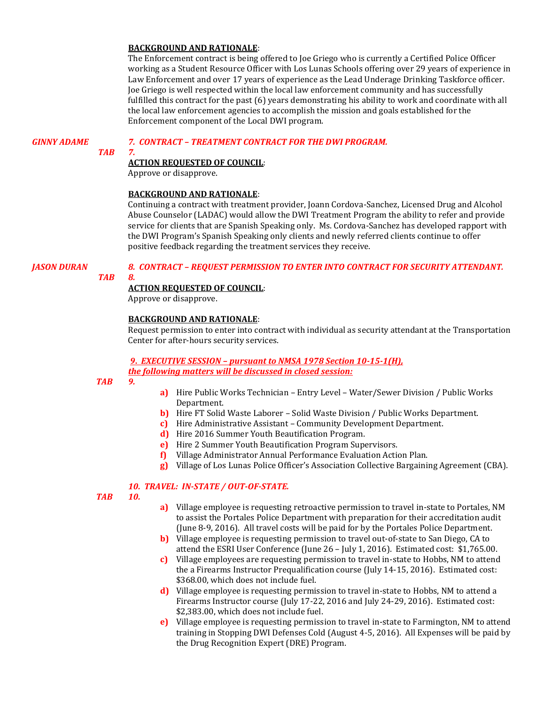### **BACKGROUND AND RATIONALE**:

The Enforcement contract is being offered to Joe Griego who is currently a Certified Police Officer working as a Student Resource Officer with Los Lunas Schools offering over 29 years of experience in Law Enforcement and over 17 years of experience as the Lead Underage Drinking Taskforce officer. Joe Griego is well respected within the local law enforcement community and has successfully fulfilled this contract for the past (6) years demonstrating his ability to work and coordinate with all the local law enforcement agencies to accomplish the mission and goals established for the Enforcement component of the Local DWI program.

## *GINNY ADAME 7. CONTRACT – TREATMENT CONTRACT FOR THE DWI PROGRAM.*

## *TAB 7.*

## **ACTION REQUESTED OF COUNCIL**:

Approve or disapprove.

## **BACKGROUND AND RATIONALE**:

Continuing a contract with treatment provider, Joann Cordova-Sanchez, Licensed Drug and Alcohol Abuse Counselor (LADAC) would allow the DWI Treatment Program the ability to refer and provide service for clients that are Spanish Speaking only. Ms. Cordova-Sanchez has developed rapport with the DWI Program's Spanish Speaking only clients and newly referred clients continue to offer positive feedback regarding the treatment services they receive.

## *JASON DURAN 8. CONTRACT – REQUEST PERMISSION TO ENTER INTO CONTRACT FOR SECURITY ATTENDANT.*

# *TAB 8.*

## **ACTION REQUESTED OF COUNCIL**:

Approve or disapprove.

## **BACKGROUND AND RATIONALE**:

Request permission to enter into contract with individual as security attendant at the Transportation Center for after-hours security services.

## *9***.** *EXECUTIVE SESSION – pursuant to NMSA 1978 Section 10-15-1(H), the following matters will be discussed in closed session:*

*TAB 9.*

- **a)** Hire Public Works Technician Entry Level Water/Sewer Division / Public Works Department.
- **b)** Hire FT Solid Waste Laborer Solid Waste Division / Public Works Department.
- **c)** Hire Administrative Assistant Community Development Department.
- **d)** Hire 2016 Summer Youth Beautification Program.
- **e)** Hire 2 Summer Youth Beautification Program Supervisors.
- **f)** Village Administrator Annual Performance Evaluation Action Plan.
- **g)** Village of Los Lunas Police Officer's Association Collective Bargaining Agreement (CBA).

## *10. TRAVEL: IN-STATE / OUT-OF-STATE.*

- *TAB 10.*
- **a)** Village employee is requesting retroactive permission to travel in-state to Portales, NM to assist the Portales Police Department with preparation for their accreditation audit (June 8-9, 2016). All travel costs will be paid for by the Portales Police Department.
- **b)** Village employee is requesting permission to travel out-of-state to San Diego, CA to attend the ESRI User Conference (June 26 – July 1, 2016). Estimated cost: \$1,765.00.
- **c)** Village employees are requesting permission to travel in-state to Hobbs, NM to attend the a Firearms Instructor Prequalification course (July 14-15, 2016). Estimated cost: \$368.00, which does not include fuel.
- **d)** Village employee is requesting permission to travel in-state to Hobbs, NM to attend a Firearms Instructor course (July 17-22, 2016 and July 24-29, 2016). Estimated cost: \$2,383.00, which does not include fuel.
- **e)** Village employee is requesting permission to travel in-state to Farmington, NM to attend training in Stopping DWI Defenses Cold (August 4-5, 2016). All Expenses will be paid by the Drug Recognition Expert (DRE) Program.